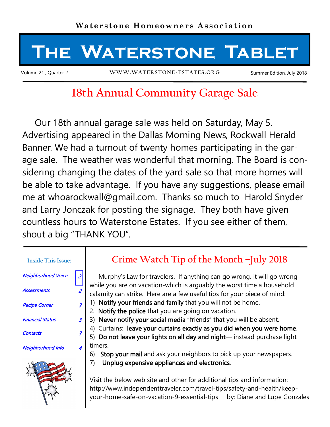

# **18th Annual Community Garage Sale**

 Our 18th annual garage sale was held on Saturday, May 5. Advertising appeared in the Dallas Morning News, Rockwall Herald Banner. We had a turnout of twenty homes participating in the garage sale. The weather was wonderful that morning. The Board is considering changing the dates of the yard sale so that more homes will be able to take advantage. If you have any suggestions, please email me at whoarockwall@gmail.com. Thanks so much to Harold Snyder and Larry Jonczak for posting the signage. They both have given countless hours to Waterstone Estates. If you see either of them, shout a big "THANK YOU".

| Neighborhood Voice   |  |
|----------------------|--|
| <b>Assessments</b>   |  |
| <b>Recipe Corner</b> |  |

**Inside This Issue:**

Financial Status 3

Contacts 3

### Neighborhood Info 4



### **Crime Watch Tip of the Month –July 2018**

 Murphy's Law for travelers. If anything can go wrong, it will go wrong while you are on vacation-which is arguably the worst time a household calamity can strike. Here are a few useful tips for your piece of mind:

- 1) Notify your friends and family that you will not be home.
- 2. Notify the police that you are going on vacation.
- 3) Never notify your social media "friends" that you will be absent.
- 4) Curtains: leave your curtains exactly as you did when you were home.

5) Do not leave your lights on all day and night— instead purchase light timers.

- 6) Stop your mail and ask your neighbors to pick up your newspapers.
- 7) Unplug expensive appliances and electronics.

Visit the below web site and other for additional tips and information: http://www.independenttraveler.com/travel-tips/safety-and-health/keepyour-home-safe-on-vacation-9-essential-tips by: Diane and Lupe Gonzales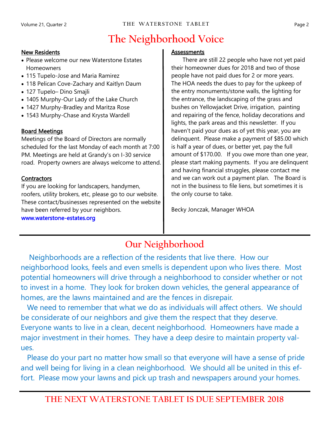## **The Neighborhood Voice**

#### New Residents

- Please welcome our new Waterstone Estates Homeowners
- 115 Tupelo-Jose and Maria Ramirez
- 118 Pelican Cove-Zachary and Kaitlyn Daum
- 127 Tupelo– Dino Smajli
- 1405 Murphy-Our Lady of the Lake Church
- 1427 Murphy-Bradley and Maritza Rose
- 1543 Murphy-Chase and Krysta Wardell

### Board Meetings

Meetings of the Board of Directors are normally scheduled for the last Monday of each month at 7:00 PM. Meetings are held at Grandy's on I-30 service road. Property owners are always welcome to attend.

### **Contractors**

If you are looking for landscapers, handymen, roofers, utility brokers, etc, please go to our website. These contact/businesses represented on the website have been referred by your neighbors.

www.waterstone-estates.org

#### **Assessments**

 There are still 22 people who have not yet paid their homeowner dues for 2018 and two of those people have not paid dues for 2 or more years. The HOA needs the dues to pay for the upkeep of the entry monuments/stone walls, the lighting for the entrance, the landscaping of the grass and bushes on Yellowjacket Drive, irrigation, painting and repairing of the fence, holiday decorations and lights, the park areas and this newsletter. If you haven't paid your dues as of yet this year, you are delinquent. Please make a payment of \$85.00 which is half a year of dues, or better yet, pay the full amount of \$170.00. If you owe more than one year, please start making payments. If you are delinquent and having financial struggles, please contact me and we can work out a payment plan. The Board is not in the business to file liens, but sometimes it is the only course to take.

Becky Jonczak, Manager WHOA

## **Our Neighborhood**

 Neighborhoods are a reflection of the residents that live there. How our neighborhood looks, feels and even smells is dependent upon who lives there. Most potential homeowners will drive through a neighborhood to consider whether or not to invest in a home. They look for broken down vehicles, the general appearance of homes, are the lawns maintained and are the fences in disrepair.

 We need to remember that what we do as individuals will affect others. We should be considerate of our neighbors and give them the respect that they deserve. Everyone wants to live in a clean, decent neighborhood. Homeowners have made a major investment in their homes. They have a deep desire to maintain property values.

 Please do your part no matter how small so that everyone will have a sense of pride and well being for living in a clean neighborhood. We should all be united in this effort. Please mow your lawns and pick up trash and newspapers around your homes.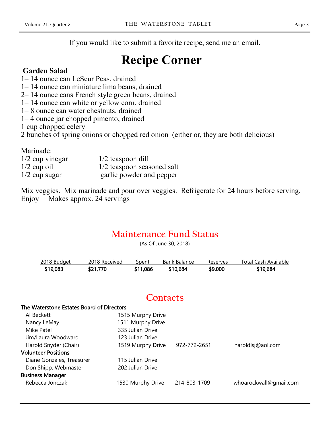If you would like to submit a favorite recipe, send me an email.

# **Recipe Corner**

### **Garden Salad**

- 1– 14 ounce can LeSeur Peas, drained
- 1– 14 ounce can miniature lima beans, drained
- 2– 14 ounce cans French style green beans, drained
- 1– 14 ounce can white or yellow corn, drained
- 1– 8 ounce can water chestnuts, drained
- 1– 4 ounce jar chopped pimento, drained

1 cup chopped celery

2 bunches of spring onions or chopped red onion (either or, they are both delicious)

Marinade:

| $1/2$ cup vinegar | $1/2$ teaspoon dill        |
|-------------------|----------------------------|
| $1/2$ cup oil     | 1/2 teaspoon seasoned salt |
| $1/2$ cup sugar   | garlic powder and pepper   |

Mix veggies. Mix marinade and pour over veggies. Refrigerate for 24 hours before serving. Enjoy Makes approx. 24 servings

### **Maintenance Fund Status**

(As Of June 30, 2018)

| 2018 Budget | 2018 Received | Spent    | Bank Balance | Reserves | Total Cash Available |
|-------------|---------------|----------|--------------|----------|----------------------|
| \$19,083    | \$21,770      | \$11,086 | \$10,684     | \$9,000  | \$19,684             |

### **Contacts**

#### The Waterstone Estates Board of Directors

| Al Beckett                 | 1515 Murphy Drive |              |                        |
|----------------------------|-------------------|--------------|------------------------|
| Nancy LeMay                | 1511 Murphy Drive |              |                        |
| Mike Patel                 | 335 Julian Drive  |              |                        |
| Jim/Laura Woodward         | 123 Julian Drive  |              |                        |
| Harold Snyder (Chair)      | 1519 Murphy Drive | 972-772-2651 | haroldlsj@aol.com      |
| <b>Volunteer Positions</b> |                   |              |                        |
| Diane Gonzales, Treasurer  | 115 Julian Drive  |              |                        |
| Don Shipp, Webmaster       | 202 Julian Drive  |              |                        |
| <b>Business Manager</b>    |                   |              |                        |
| Rebecca Jonczak            | 1530 Murphy Drive | 214-803-1709 | whoarockwall@gmail.com |
|                            |                   |              |                        |